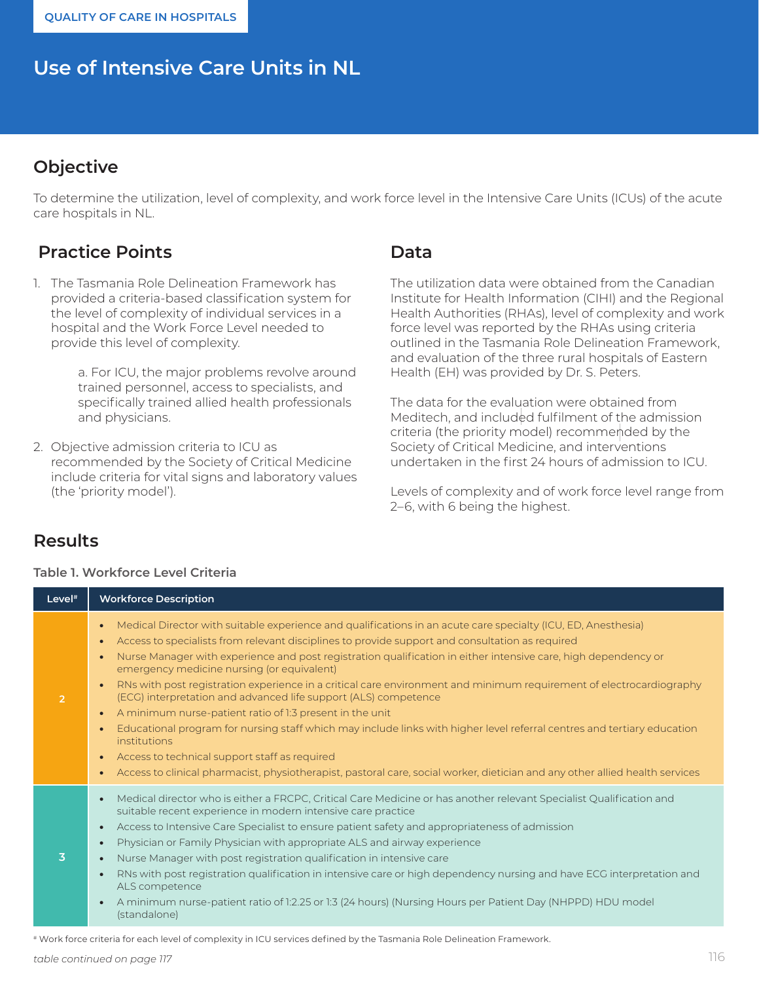# **Use of Intensive Care Units in NL**

# **Objective**

To determine the utilization, level of complexity, and work force level in the Intensive Care Units (ICUs) of the acute care hospitals in NL.

# **Practice Points**

1. The Tasmania Role Delineation Framework has provided a criteria-based classification system for the level of complexity of individual services in a hospital and the Work Force Level needed to provide this level of complexity.

> a. For ICU, the major problems revolve around trained personnel, access to specialists, and specifically trained allied health professionals and physicians.

2. Objective admission criteria to ICU as recommended by the Society of Critical Medicine include criteria for vital signs and laboratory values (the 'priority model').

### **Data**

The utilization data were obtained from the Canadian Institute for Health Information (CIHI) and the Regional Health Authorities (RHAs), level of complexity and work force level was reported by the RHAs using criteria outlined in the Tasmania Role Delineation Framework, and evaluation of the three rural hospitals of Eastern Health (EH) was provided by Dr. S. Peters.

The data for the evaluation were obtained from Meditech, and included fulfilment of the admission criteria (the priority model) recommended by the Society of Critical Medicine, and interventions undertaken in the first 24 hours of admission to ICU.

Levels of complexity and of work force level range from 2–6, with 6 being the highest.

### **Results**

#### **Table 1. Workforce Level Criteria**

| Level <sup>#</sup> | <b>Workforce Description</b>                                                                                                                                                                                                                                                                                                                                                                                                                                                                                                                                                                                                                                                                                                                                                                                                                                                                                                                                                                                                                     |
|--------------------|--------------------------------------------------------------------------------------------------------------------------------------------------------------------------------------------------------------------------------------------------------------------------------------------------------------------------------------------------------------------------------------------------------------------------------------------------------------------------------------------------------------------------------------------------------------------------------------------------------------------------------------------------------------------------------------------------------------------------------------------------------------------------------------------------------------------------------------------------------------------------------------------------------------------------------------------------------------------------------------------------------------------------------------------------|
| $\overline{2}$     | Medical Director with suitable experience and qualifications in an acute care specialty (ICU, ED, Anesthesia)<br>Access to specialists from relevant disciplines to provide support and consultation as required<br>$\bullet$<br>Nurse Manager with experience and post registration qualification in either intensive care, high dependency or<br>$\bullet$<br>emergency medicine nursing (or equivalent)<br>RNs with post registration experience in a critical care environment and minimum requirement of electrocardiography<br>$\bullet$<br>(ECG) interpretation and advanced life support (ALS) competence<br>A minimum nurse-patient ratio of 1:3 present in the unit<br>$\bullet$<br>Educational program for nursing staff which may include links with higher level referral centres and tertiary education<br>$\bullet$<br>institutions<br>Access to technical support staff as required<br>$\bullet$<br>Access to clinical pharmacist, physiotherapist, pastoral care, social worker, dietician and any other allied health services |
| 3                  | Medical director who is either a FRCPC, Critical Care Medicine or has another relevant Specialist Qualification and<br>$\bullet$<br>suitable recent experience in modern intensive care practice<br>Access to Intensive Care Specialist to ensure patient safety and appropriateness of admission<br>$\bullet$<br>Physician or Family Physician with appropriate ALS and airway experience<br>$\bullet$<br>Nurse Manager with post registration qualification in intensive care<br>RNs with post registration qualification in intensive care or high dependency nursing and have ECG interpretation and<br>ALS competence<br>A minimum nurse-patient ratio of 1:2.25 or 1:3 (24 hours) (Nursing Hours per Patient Day (NHPPD) HDU model<br>(standalone)                                                                                                                                                                                                                                                                                         |

# Work force criteria for each level of complexity in ICU services defined by the Tasmania Role Delineation Framework.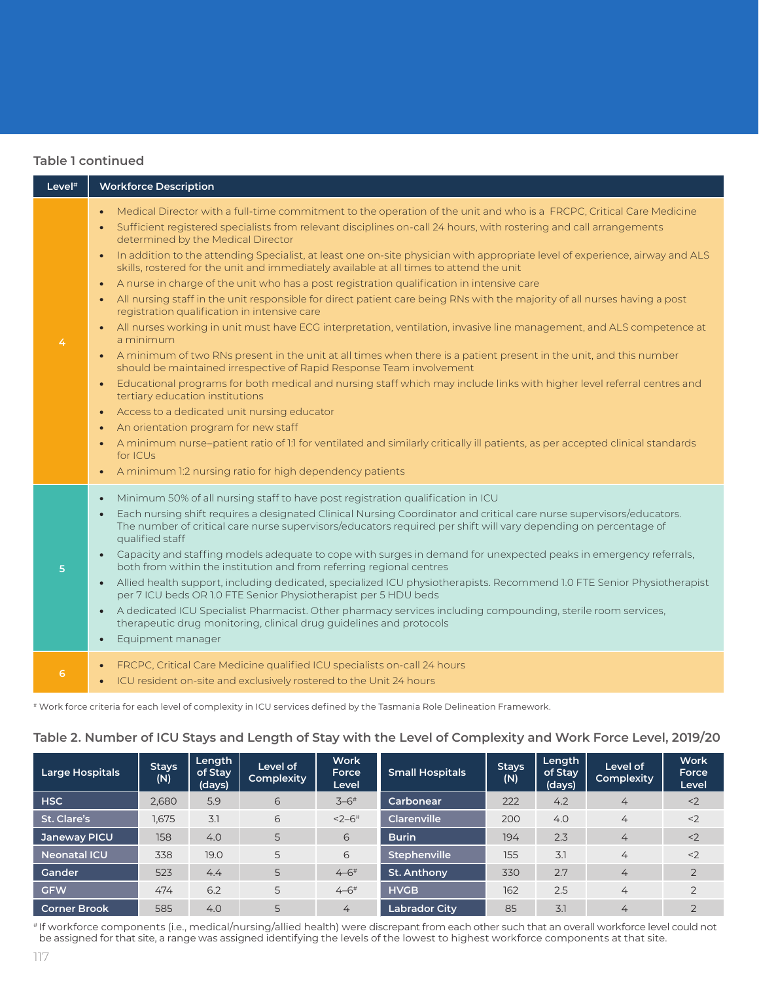|                    | <b>Table 1 continued</b>                                                                                                                                                                                                                                                                                                                                                                                                                                                                                                                                                                                                                                                                                                                                                                                                                                                                                                                                                                                                                                                                                                                                                                                                                                                                                                                                                                                                                                                                                                                                                                                                                                                 |
|--------------------|--------------------------------------------------------------------------------------------------------------------------------------------------------------------------------------------------------------------------------------------------------------------------------------------------------------------------------------------------------------------------------------------------------------------------------------------------------------------------------------------------------------------------------------------------------------------------------------------------------------------------------------------------------------------------------------------------------------------------------------------------------------------------------------------------------------------------------------------------------------------------------------------------------------------------------------------------------------------------------------------------------------------------------------------------------------------------------------------------------------------------------------------------------------------------------------------------------------------------------------------------------------------------------------------------------------------------------------------------------------------------------------------------------------------------------------------------------------------------------------------------------------------------------------------------------------------------------------------------------------------------------------------------------------------------|
| Level <sup>#</sup> | <b>Workforce Description</b>                                                                                                                                                                                                                                                                                                                                                                                                                                                                                                                                                                                                                                                                                                                                                                                                                                                                                                                                                                                                                                                                                                                                                                                                                                                                                                                                                                                                                                                                                                                                                                                                                                             |
| 4                  | Medical Director with a full-time commitment to the operation of the unit and who is a FRCPC, Critical Care Medicine<br>Sufficient registered specialists from relevant disciplines on-call 24 hours, with rostering and call arrangements<br>$\bullet$<br>determined by the Medical Director<br>In addition to the attending Specialist, at least one on-site physician with appropriate level of experience, airway and ALS<br>$\bullet$<br>skills, rostered for the unit and immediately available at all times to attend the unit<br>A nurse in charge of the unit who has a post registration qualification in intensive care<br>$\bullet$<br>All nursing staff in the unit responsible for direct patient care being RNs with the majority of all nurses having a post<br>$\bullet$<br>registration qualification in intensive care<br>• All nurses working in unit must have ECG interpretation, ventilation, invasive line management, and ALS competence at<br>a minimum<br>• A minimum of two RNs present in the unit at all times when there is a patient present in the unit, and this number<br>should be maintained irrespective of Rapid Response Team involvement<br>Educational programs for both medical and nursing staff which may include links with higher level referral centres and<br>tertiary education institutions<br>Access to a dedicated unit nursing educator<br>An orientation program for new staff<br>$\bullet$<br>A minimum nurse-patient ratio of 1:1 for ventilated and similarly critically ill patients, as per accepted clinical standards<br>for ICUs<br>A minimum 1:2 nursing ratio for high dependency patients<br>$\bullet$ |
| 5                  | Minimum 50% of all nursing staff to have post registration qualification in ICU<br>$\bullet$<br>Each nursing shift requires a designated Clinical Nursing Coordinator and critical care nurse supervisors/educators.<br>The number of critical care nurse supervisors/educators required per shift will vary depending on percentage of<br>qualified staff<br>Capacity and staffing models adequate to cope with surges in demand for unexpected peaks in emergency referrals,<br>$\bullet$<br>both from within the institution and from referring regional centres<br>Allied health support, including dedicated, specialized ICU physiotherapists. Recommend 1.0 FTE Senior Physiotherapist<br>$\bullet$<br>per 7 ICU beds OR 1.0 FTE Senior Physiotherapist per 5 HDU beds<br>A dedicated ICU Specialist Pharmacist. Other pharmacy services including compounding, sterile room services,<br>$\bullet$<br>therapeutic drug monitoring, clinical drug guidelines and protocols<br>Equipment manager<br>$\bullet$                                                                                                                                                                                                                                                                                                                                                                                                                                                                                                                                                                                                                                                      |
| 6                  | FRCPC, Critical Care Medicine qualified ICU specialists on-call 24 hours<br>ICU resident on-site and exclusively rostered to the Unit 24 hours<br>$\bullet$                                                                                                                                                                                                                                                                                                                                                                                                                                                                                                                                                                                                                                                                                                                                                                                                                                                                                                                                                                                                                                                                                                                                                                                                                                                                                                                                                                                                                                                                                                              |

# # Work force criteria for each level of complexity in ICU services defined by the Tasmania Role Delineation Framework.

| <b>Large Hospitals</b> | <b>Stays</b><br>(N) | Length<br>of Stay<br>(days) | Level of<br>Complexity | <b>Work</b><br>Force<br>Level | <b>Small Hospitals</b> | <b>Stays</b><br>(N) | Length<br>of Stay<br>(days) | Level of<br>Complexity | <b>Work</b><br>Force<br>Level |
|------------------------|---------------------|-----------------------------|------------------------|-------------------------------|------------------------|---------------------|-----------------------------|------------------------|-------------------------------|
| <b>HSC</b>             | 2,680               | 5.9                         | 6                      | $3 - 6$ <sup>#</sup>          | Carbonear              | 222                 | 4.2                         | 4                      | < 2                           |
| St. Clare's            | 1.675               | 3.1                         | 6                      | $2 - 6$ <sup>#</sup>          | <b>Clarenville</b>     | 200                 | 4.0                         | 4                      | $<$ 2                         |
| Janeway PICU           | 158                 | 4.0                         | 5                      | 6                             | <b>Burin</b>           | 194                 | 2.3                         | 4                      | $<$ 2                         |
| <b>Neonatal ICU</b>    | 338                 | 19.0                        | 5                      | 6                             | <b>Stephenville</b>    | 155                 | 3.1                         | 4                      | $<$ 2                         |
| Gander                 | 523                 | 4.4                         | 5                      | $4 - 6$ <sup>#</sup>          | St. Anthony            | 330                 | 2.7                         | 4                      | $\overline{2}$                |
| <b>GFW</b>             | 474                 | 6.2                         | 5                      | $4 - 6$ <sup>#</sup>          | <b>HVGB</b>            | 162                 | 2.5                         | 4                      | $\overline{2}$                |
| <b>Corner Brook</b>    | 585                 | 4.0                         | 5                      | 4                             | <b>Labrador City</b>   | 85                  | 3.1                         | 4                      | $\bigcap$                     |

**Table 2. Number of ICU Stays and Length of Stay with the Level of Complexity and Work Force Level, 2019/20**

# If workforce components (i.e., medical/nursing/allied health) were discrepant from each other such that an overall workforce level could not be assigned for that site, a range was assigned identifying the levels of the lowest to highest workforce components at that site.